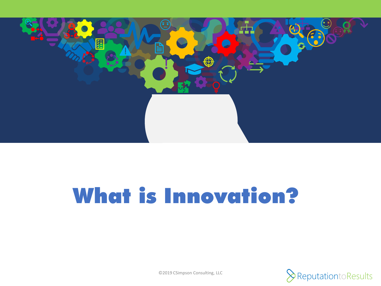

# What is Innovation?

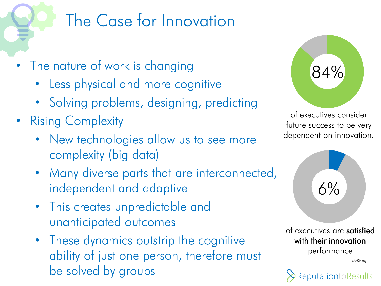## The Case for Innovation

- The nature of work is changing
	- Less physical and more cognitive
	- Solving problems, designing, predicting
- Rising Complexity
	- New technologies allow us to see more complexity (big data)
	- Many diverse parts that are interconnected, independent and adaptive
	- This creates unpredictable and unanticipated outcomes
	- These dynamics outstrip the cognitive ability of just one person, therefore must be solved by groups



of executives consider future success to be very dependent on innovation.



of executives are satisfied with their innovation performance

McKinsey

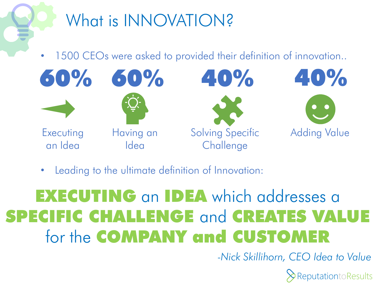

1500 CEOs were asked to provided their definition of innovation..



Leading to the ultimate definition of Innovation:

### EXECUTING an IDEA which addresses a SPECIFIC CHALLENGE and CREATES VALUE for the COMPANY and CUSTOMER

*-Nick Skillihorn, CEO Idea to Value* 

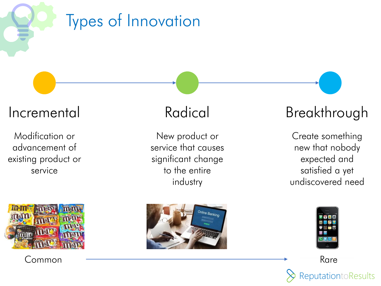Types of Innovation

Modification or advancement of existing product or service



Common

New product or service that causes significant change to the entire industry



### Incremental Radical Breakthrough

Create something new that nobody expected and satisfied a yet undiscovered need